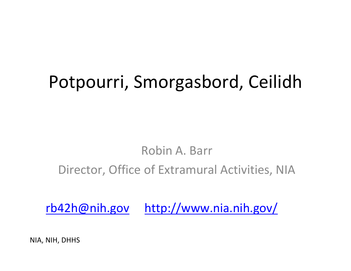# Potpourri, Smorgasbord, Ceilidh

#### Robin A. Barr

Director, Office of Extramural Activities, NIA

[rb42h@nih.gov](mailto:rb42h@nih.gov) <http://www.nia.nih.gov/>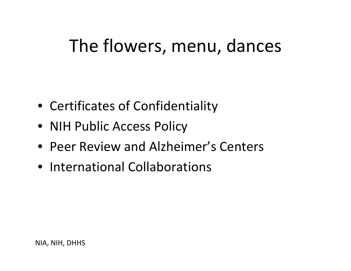# The flowers, menu, dances

- Certificates of Confidentiality
- NIH Public Access Policy
- Peer Review and Alzheimer's Centers
- International Collaborations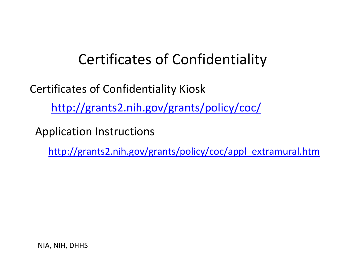## Certificates of Confidentiality

Certificates of Confidentiality Kiosk <http://grants2.nih.gov/grants/policy/coc/>

Application Instructions

[http://grants2.nih.gov/grants/policy/coc/appl\\_extramural.htm](http://grants2.nih.gov/grants/policy/coc/appl_extramural.htm)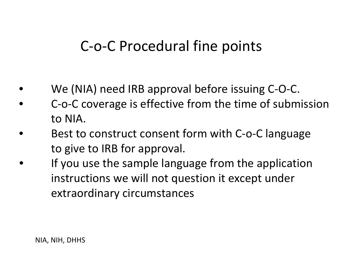# C‐o‐C Procedural fine points

- We (NIA) need IRB approval before issuing C‐O‐C.
- The C-o-C coverage is effective from the time of submission to NIA.
- Best to construct consent form with C-o-C language to give to IRB for approval.
	- If you use the sample language from the application instructions we will not question it except under extraordinary circumstances

•

•

•

•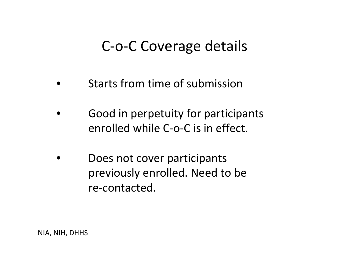## C‐o‐C Coverage details

- •• Starts from time of submission
- •**• Good in perpetuity for participants** enrolled while C‐o‐C is in effect.
- •**• Does not cover participants** previously enrolled. Need to be re‐contacted.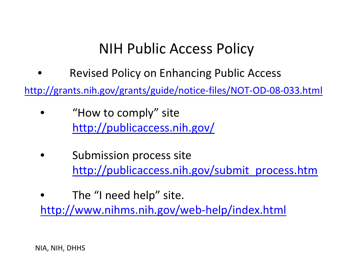# NIH Public Access Policy

•**• Sexised Policy on Enhancing Public Access** 

[http://grants.nih.gov/grants/guide/notice](http://grants.nih.gov/grants/guide/notice-files/NOT-OD-08-033.html)‐files/NOT‐OD‐08‐033.html

- • "How to comply" site <http://publicaccess.nih.gov/>
- •**•** Submission process site [http://publicaccess.nih.gov/submit\\_process.htm](http://publicaccess.nih.gov/submit_process.htm)
- • The "I need help" site. [http://www.nihms.nih.gov/web](http://www.nihms.nih.gov/web-help/index.html)‐help/index.html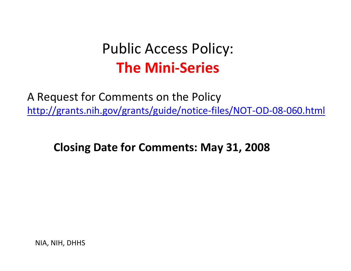# Public Access Policy: **The Mini‐Series**

A Request for Comments on the Policy [http://grants.nih.gov/grants/guide/notice](http://grants.nih.gov/grants/guide/notice-files/NOT-OD-08-060.html)‐files/NOT‐OD‐08‐060.html

**Closing Date for Comments: May 31, 2008**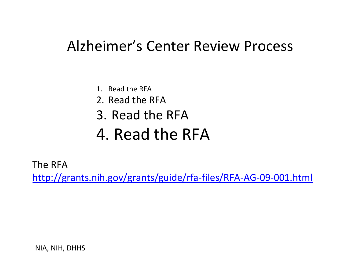## Alzheimer's Center Review Process

- 1. Read the RFA
- 2. Read the RFA
- 3. Read the RFA
- 4. Read the RFA

The RFA

[http://grants.nih.gov/grants/guide/rfa](http://grants.nih.gov/grants/guide/rfa-files/RFA-AG-09-001.html)‐files/RFA‐AG‐09‐001.html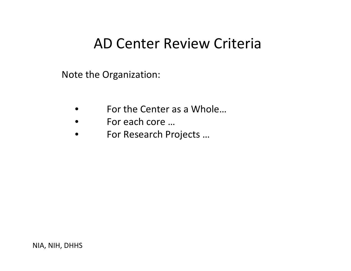## AD Center Review Criteria

Note the Organization:

- •For the Center as <sup>a</sup> Whole…
- •For each core …
- $\bullet$ For Research Projects …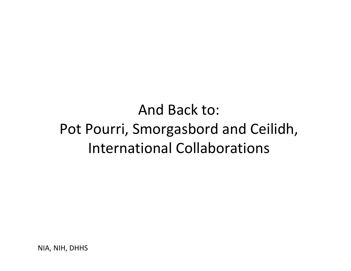And Back to: Pot Pourri, Smorgasbord and Ceilidh, International Collaborations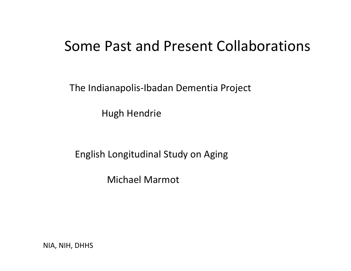#### Some Past and Present Collaborations

The Indianapolis‐Ibadan Dementia Project

Hugh Hendrie

English Longitudinal Study on Aging

Michael Marmot